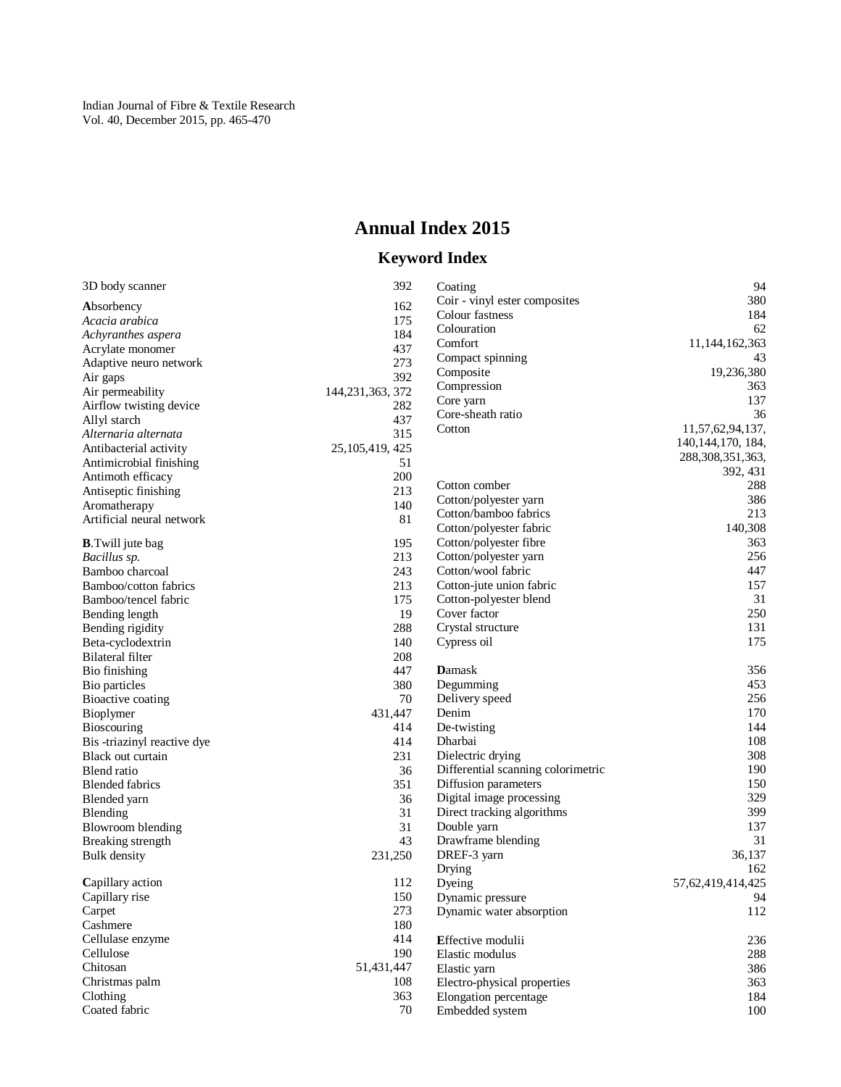# **Annual Index 2015**

## **Keyword Index**

| 3D body scanner                                  | 392                | Coating                                          | 94                    |
|--------------------------------------------------|--------------------|--------------------------------------------------|-----------------------|
| Absorbency                                       | 162                | Coir - vinyl ester composites                    | 380                   |
| Acacia arabica                                   | 175                | Colour fastness                                  | 184                   |
| Achyranthes aspera                               | 184                | Colouration                                      | 62                    |
| Acrylate monomer                                 | 437                | Comfort                                          | 11,144,162,363        |
| Adaptive neuro network                           | 273                | Compact spinning                                 | 43                    |
|                                                  | 392                | Composite                                        | 19,236,380            |
| Air gaps                                         | 144, 231, 363, 372 | Compression                                      | 363                   |
| Air permeability<br>Airflow twisting device      | 282                | Core yarn                                        | 137                   |
|                                                  | 437                | Core-sheath ratio                                | 36                    |
| Allyl starch                                     | 315                | Cotton                                           | 11,57,62,94,137,      |
| Alternaria alternata<br>Antibacterial activity   |                    |                                                  | 140, 144, 170, 184,   |
|                                                  | 25, 105, 419, 425  |                                                  | 288, 308, 351, 363,   |
| Antimicrobial finishing                          | 51                 |                                                  | 392, 431              |
| Antimoth efficacy                                | 200                | Cotton comber                                    | 288                   |
| Antiseptic finishing                             | 213                | Cotton/polyester yarn                            | 386                   |
| Aromatherapy                                     | 140                | Cotton/bamboo fabrics                            | 213                   |
| Artificial neural network                        | 81                 | Cotton/polyester fabric                          | 140,308               |
| <b>B.</b> Twill jute bag                         | 195                | Cotton/polyester fibre                           | 363                   |
| Bacillus sp.                                     | 213                | Cotton/polyester yarn                            | 256                   |
| Bamboo charcoal                                  | 243                | Cotton/wool fabric                               | 447                   |
| Bamboo/cotton fabrics                            | 213                | Cotton-jute union fabric                         | 157                   |
| Bamboo/tencel fabric                             | 175                | Cotton-polyester blend                           | 31                    |
| Bending length                                   | 19                 | Cover factor                                     | 250                   |
| Bending rigidity                                 | 288                | Crystal structure                                | 131                   |
| Beta-cyclodextrin                                | 140                | Cypress oil                                      | 175                   |
| <b>Bilateral filter</b>                          | 208                |                                                  |                       |
| Bio finishing                                    | 447                | <b>D</b> amask                                   | 356                   |
| Bio particles                                    | 380                | Degumming                                        | 453                   |
| Bioactive coating                                | 70                 | Delivery speed                                   | 256                   |
|                                                  | 431,447            | Denim                                            | 170                   |
| Bioplymer                                        | 414                | De-twisting                                      | 144                   |
| <b>Bioscouring</b>                               | 414                | Dharbai                                          | 108                   |
| Bis -triazinyl reactive dye<br>Black out curtain | 231                | Dielectric drying                                | 308                   |
|                                                  | 36                 | Differential scanning colorimetric               | 190                   |
| Blend ratio                                      |                    |                                                  | 150                   |
| <b>Blended fabrics</b>                           | 351                | Diffusion parameters<br>Digital image processing | 329                   |
| Blended yarn                                     | 36                 |                                                  | 399                   |
| Blending                                         | 31                 | Direct tracking algorithms                       | 137                   |
| <b>Blowroom blending</b>                         | 31                 | Double yarn                                      |                       |
| Breaking strength                                | 43                 | Drawframe blending                               | 31                    |
| <b>Bulk</b> density                              | 231,250            | DREF-3 yarn                                      | 36,137                |
|                                                  |                    | Drying                                           | 162                   |
| Capillary action                                 | 112                | Dyeing                                           | 57, 62, 419, 414, 425 |
| Capillary rise                                   | 150                | Dynamic pressure                                 | 94                    |
| Carpet<br>Cashmere                               | 273<br>180         | Dynamic water absorption                         | 112                   |
|                                                  |                    |                                                  |                       |
| Cellulase enzyme                                 | 414                | <b>Effective modulii</b>                         | 236                   |
| Cellulose                                        | 190                | Elastic modulus                                  | 288                   |
| Chitosan                                         | 51,431,447         | Elastic yarn                                     | 386                   |
| Christmas palm                                   | 108                | Electro-physical properties                      | 363                   |
| Clothing                                         | 363                | Elongation percentage                            | 184                   |
| Coated fabric                                    | 70                 | Embedded system                                  | 100                   |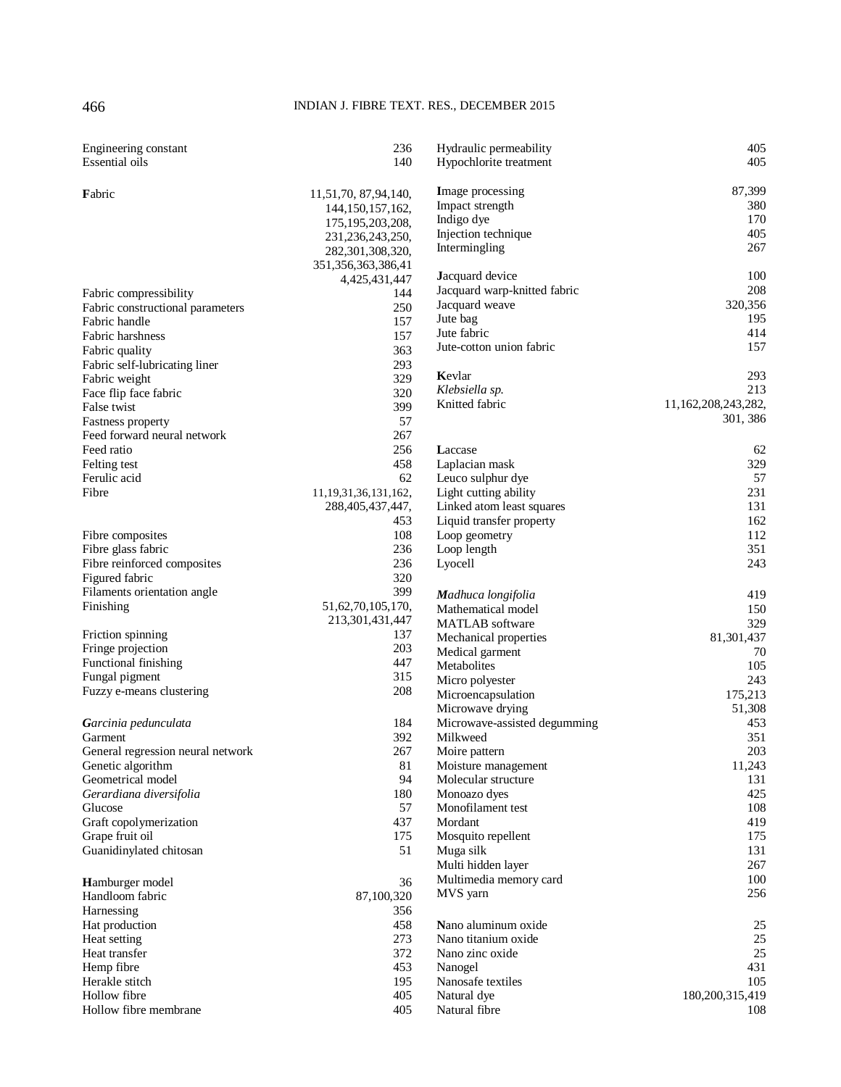### 466 INDIAN J. FIBRE TEXT. RES., DECEMBER 2015

| Engineering constant<br>Essential oils | 236<br>140                                  | Hydraulic permeability<br>Hypochlorite treatment | 405<br>405          |
|----------------------------------------|---------------------------------------------|--------------------------------------------------|---------------------|
| Fabric                                 | 11,51,70, 87,94,140,<br>144, 150, 157, 162, | Image processing<br>Impact strength              | 87,399<br>380       |
|                                        | 175, 195, 203, 208,                         | Indigo dye                                       | 170                 |
|                                        | 231,236,243,250,                            | Injection technique                              | 405                 |
|                                        | 282,301,308,320,                            | Intermingling                                    | 267                 |
|                                        | 351,356,363,386,41                          |                                                  |                     |
|                                        | 4,425,431,447                               | Jacquard device                                  | 100                 |
| Fabric compressibility                 | 144                                         | Jacquard warp-knitted fabric                     | 208                 |
| Fabric constructional parameters       | 250                                         | Jacquard weave                                   | 320,356             |
| Fabric handle                          | 157                                         | Jute bag                                         | 195                 |
| Fabric harshness                       | 157                                         | Jute fabric                                      | 414                 |
| Fabric quality                         | 363                                         | Jute-cotton union fabric                         | 157                 |
| Fabric self-lubricating liner          | 293                                         |                                                  |                     |
| Fabric weight                          | 329                                         | Kevlar                                           | 293                 |
| Face flip face fabric                  | 320                                         | Klebsiella sp.                                   | 213                 |
| False twist                            | 399                                         | Knitted fabric                                   | 11,162,208,243,282, |
| Fastness property                      | 57                                          |                                                  | 301, 386            |
| Feed forward neural network            | 267                                         |                                                  |                     |
| Feed ratio                             | 256                                         | Laccase                                          | 62                  |
| Felting test                           | 458                                         | Laplacian mask                                   | 329                 |
| Ferulic acid                           | 62                                          | Leuco sulphur dye                                | 57                  |
| Fibre                                  | 11, 19, 31, 36, 131, 162,                   | Light cutting ability                            | 231                 |
|                                        | 288,405,437,447,                            | Linked atom least squares                        | 131                 |
|                                        | 453                                         | Liquid transfer property                         | 162                 |
| Fibre composites                       | 108                                         | Loop geometry                                    | 112                 |
| Fibre glass fabric                     | 236                                         | Loop length                                      | 351                 |
| Fibre reinforced composites            | 236                                         | Lyocell                                          | 243                 |
| Figured fabric                         | 320                                         |                                                  |                     |
| Filaments orientation angle            | 399                                         | Madhuca longifolia                               | 419                 |
| Finishing                              | 51,62,70,105,170,                           | Mathematical model                               | 150                 |
|                                        | 213,301,431,447                             | <b>MATLAB</b> software                           | 329                 |
| Friction spinning                      | 137                                         | Mechanical properties                            | 81,301,437          |
| Fringe projection                      | 203                                         | Medical garment                                  | 70                  |
| Functional finishing                   | 447                                         | Metabolites                                      | 105                 |
| Fungal pigment                         | 315                                         | Micro polyester                                  | 243                 |
| Fuzzy e-means clustering               | 208                                         | Microencapsulation                               | 175,213             |
|                                        |                                             | Microwave drying                                 | 51,308              |
| Garcinia pedunculata                   | 184                                         | Microwave-assisted degumming                     | 453                 |
| Garment                                | 392                                         | Milkweed                                         | 351                 |
| General regression neural network      | 267                                         | Moire pattern                                    | $203\,$             |
| Genetic algorithm                      | 81                                          | Moisture management                              | 11,243              |
| Geometrical model                      | 94                                          | Molecular structure                              | 131                 |
| Gerardiana diversifolia                | 180                                         | Monoazo dyes                                     | 425                 |
| Glucose                                | 57                                          | Monofilament test                                | 108                 |
| Graft copolymerization                 | 437                                         | Mordant                                          | 419                 |
| Grape fruit oil                        | 175                                         | Mosquito repellent                               | 175                 |
| Guanidinylated chitosan                | 51                                          | Muga silk                                        | 131                 |
|                                        |                                             | Multi hidden layer                               | 267                 |
| Hamburger model                        | 36                                          | Multimedia memory card                           | 100                 |
| Handloom fabric                        | 87,100,320                                  | MVS yarn                                         | 256                 |
| Harnessing                             | 356                                         |                                                  |                     |
| Hat production                         | 458                                         | Nano aluminum oxide                              | 25                  |
| Heat setting                           | 273                                         | Nano titanium oxide                              | 25                  |
| Heat transfer                          | 372                                         | Nano zinc oxide                                  | $25\,$              |
| Hemp fibre                             | 453                                         | Nanogel                                          | 431                 |
| Herakle stitch                         | 195                                         | Nanosafe textiles                                | 105                 |
| Hollow fibre                           |                                             |                                                  |                     |
|                                        | 405                                         | Natural dye                                      | 180, 200, 315, 419  |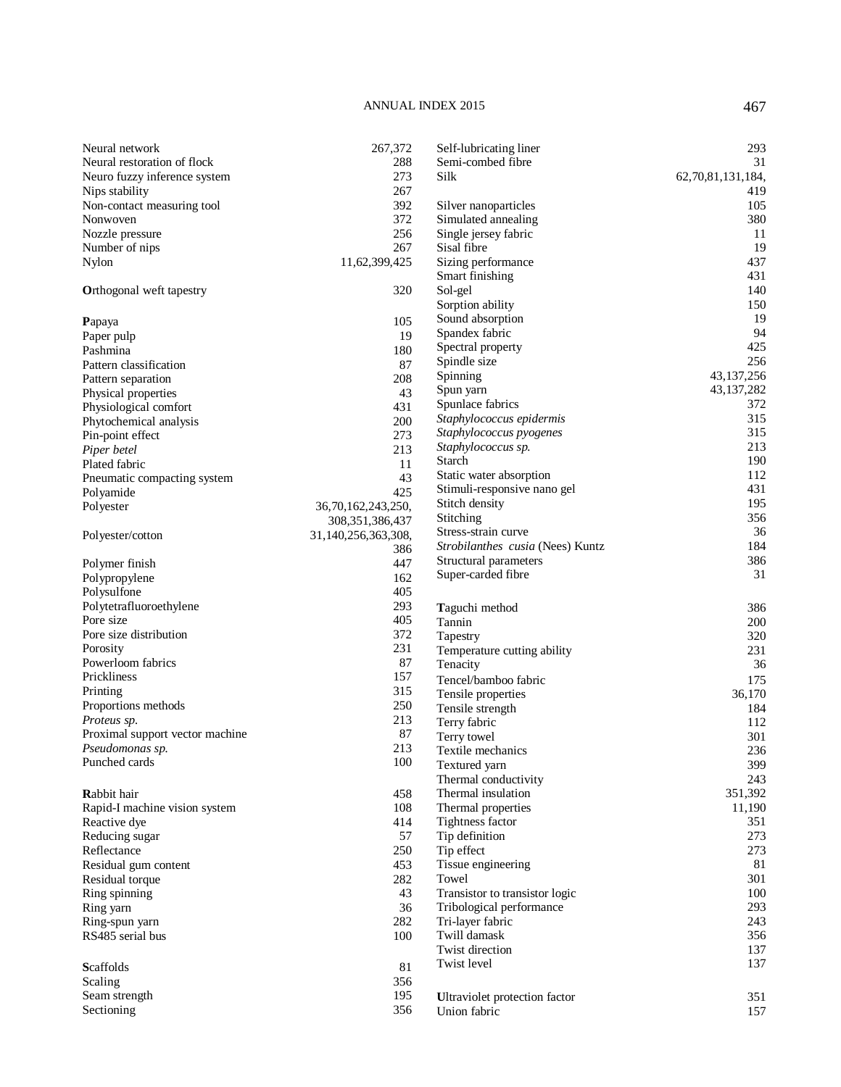| Neural network                  | 267,372             | Self-lubricating liner           | 293               |
|---------------------------------|---------------------|----------------------------------|-------------------|
| Neural restoration of flock     | 288                 | Semi-combed fibre                | 31                |
| Neuro fuzzy inference system    | 273                 | Silk                             | 62,70,81,131,184, |
| Nips stability                  | 267                 |                                  | 419               |
| Non-contact measuring tool      | 392                 | Silver nanoparticles             | 105               |
| Nonwoven                        | 372                 | Simulated annealing              | 380               |
| Nozzle pressure                 | 256                 | Single jersey fabric             | 11                |
| Number of nips                  | 267                 | Sisal fibre                      | 19                |
| Nylon                           | 11,62,399,425       | Sizing performance               | 437               |
|                                 |                     | Smart finishing                  | 431               |
| <b>Orthogonal weft tapestry</b> | 320                 | Sol-gel                          | 140               |
|                                 |                     | Sorption ability                 | 150               |
|                                 |                     | Sound absorption                 | 19                |
| Papaya                          | 105                 | Spandex fabric                   | 94                |
| Paper pulp                      | 19                  | Spectral property                | 425               |
| Pashmina                        | 180                 | Spindle size                     | 256               |
| Pattern classification          | 87                  |                                  | 43, 137, 256      |
| Pattern separation              | 208                 | Spinning                         | 43,137,282        |
| Physical properties             | 43                  | Spun yarn                        |                   |
| Physiological comfort           | 431                 | Spunlace fabrics                 | 372               |
| Phytochemical analysis          | 200                 | Staphylococcus epidermis         | 315               |
| Pin-point effect                | 273                 | Staphylococcus pyogenes          | 315               |
| Piper betel                     | 213                 | Staphylococcus sp.               | 213               |
| Plated fabric                   | 11                  | Starch                           | 190               |
| Pneumatic compacting system     | 43                  | Static water absorption          | 112               |
| Polyamide                       | 425                 | Stimuli-responsive nano gel      | 431               |
| Polyester                       | 36,70,162,243,250,  | Stitch density                   | 195               |
|                                 | 308, 351, 386, 437  | Stitching                        | 356               |
| Polyester/cotton                | 31,140,256,363,308, | Stress-strain curve              | 36                |
|                                 | 386                 | Strobilanthes cusia (Nees) Kuntz | 184               |
| Polymer finish                  | 447                 | Structural parameters            | 386               |
| Polypropylene                   | 162                 | Super-carded fibre               | 31                |
| Polysulfone                     | 405                 |                                  |                   |
| Polytetrafluoroethylene         | 293                 | Taguchi method                   | 386               |
| Pore size                       | 405                 | Tannin                           | 200               |
| Pore size distribution          | 372                 | Tapestry                         | 320               |
| Porosity                        | 231                 | Temperature cutting ability      | 231               |
| Powerloom fabrics               | 87                  | Tenacity                         | 36                |
| Prickliness                     | 157                 |                                  |                   |
| Printing                        | 315                 | Tencel/bamboo fabric             | 175               |
| Proportions methods             | 250                 | Tensile properties               | 36,170            |
| Proteus sp.                     | 213                 | Tensile strength                 | 184               |
|                                 | 87                  | Terry fabric                     | 112               |
| Proximal support vector machine |                     | Terry towel                      | 301               |
| Pseudomonas sp.                 | 213                 | Textile mechanics                | 236               |
| Punched cards                   | 100                 | Textured yarn                    | 399               |
|                                 |                     | Thermal conductivity             | 243               |
| Rabbit hair                     | 458                 | Thermal insulation               | 351,392           |
| Rapid-I machine vision system   | 108                 | Thermal properties               | 11,190            |
| Reactive dye                    | 414                 | Tightness factor                 | 351               |
| Reducing sugar                  | 57                  | Tip definition                   | 273               |
| Reflectance                     | 250                 | Tip effect                       | 273               |
| Residual gum content            | 453                 | Tissue engineering               | 81                |
| Residual torque                 | 282                 | Towel                            | 301               |
| Ring spinning                   | 43                  | Transistor to transistor logic   | 100               |
| Ring yarn                       | 36                  | Tribological performance         | 293               |
| Ring-spun yarn                  | 282                 | Tri-layer fabric                 | 243               |
| RS485 serial bus                | 100                 | Twill damask                     | 356               |
|                                 |                     | Twist direction                  | 137               |
| <b>Scaffolds</b>                | 81                  | Twist level                      | 137               |
|                                 |                     |                                  |                   |
| Scaling                         | 356<br>195          |                                  |                   |
| Seam strength                   |                     | Ultraviolet protection factor    | 351               |
| Sectioning                      | 356                 | Union fabric                     | 157               |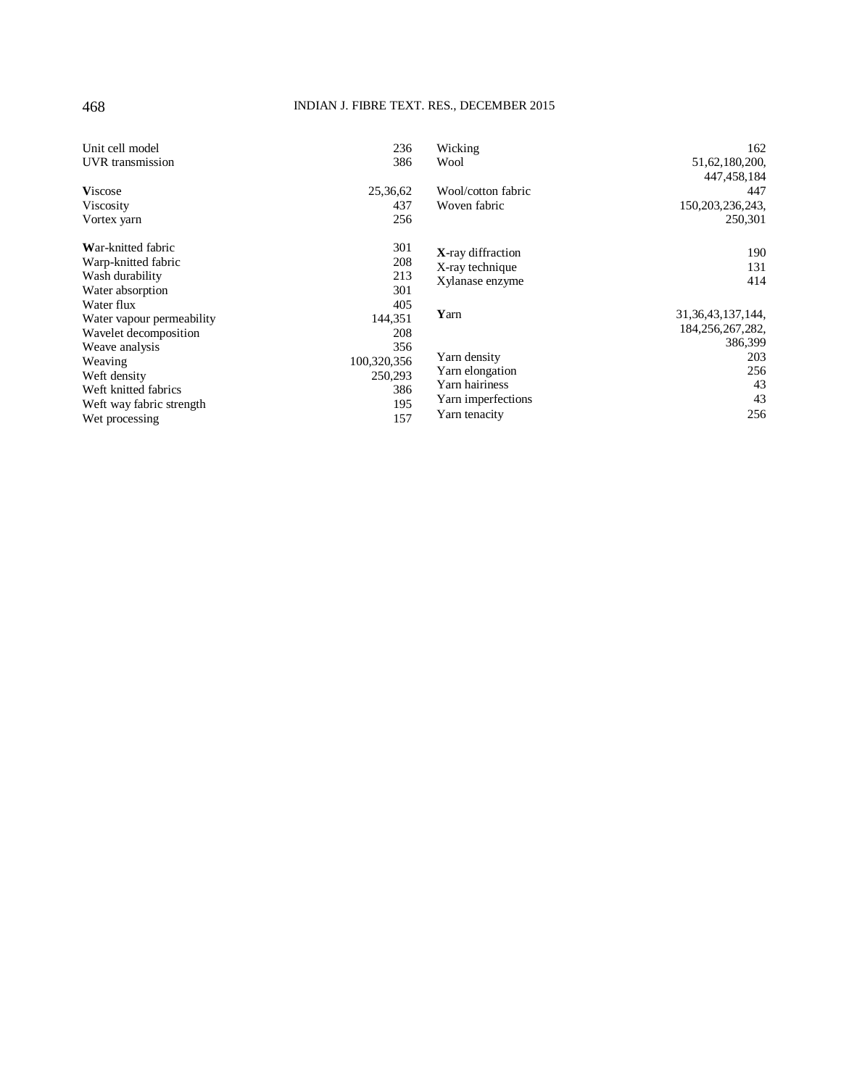### 468 INDIAN J. FIBRE TEXT. RES., DECEMBER 2015

| Unit cell model           | 236         | Wicking            | 162                   |
|---------------------------|-------------|--------------------|-----------------------|
| UVR transmission          | 386         | Wool               | 51, 62, 180, 200,     |
|                           |             |                    | 447,458,184           |
| <b>Viscose</b>            | 25,36,62    | Wool/cotton fabric | 447                   |
| Viscosity                 | 437         | Woven fabric       | 150, 203, 236, 243,   |
| Vortex yarn               | 256         |                    | 250,301               |
| War-knitted fabric        | 301         | X-ray diffraction  | 190                   |
| Warp-knitted fabric       | 208         | X-ray technique    | 131                   |
| Wash durability           | 213         | Xylanase enzyme    | 414                   |
| Water absorption          | 301         |                    |                       |
| Water flux                | 405         |                    |                       |
| Water vapour permeability | 144,351     | Yarn               | 31, 36, 43, 137, 144, |
| Wavelet decomposition     | 208         |                    | 184, 256, 267, 282,   |
| Weave analysis            | 356         |                    | 386,399               |
| Weaving                   | 100,320,356 | Yarn density       | 203                   |
| Weft density              | 250,293     | Yarn elongation    | 256                   |
| Weft knitted fabrics      | 386         | Yarn hairiness     | 43                    |
| Weft way fabric strength  | 195         | Yarn imperfections | 43                    |
| Wet processing            | 157         | Yarn tenacity      | 256                   |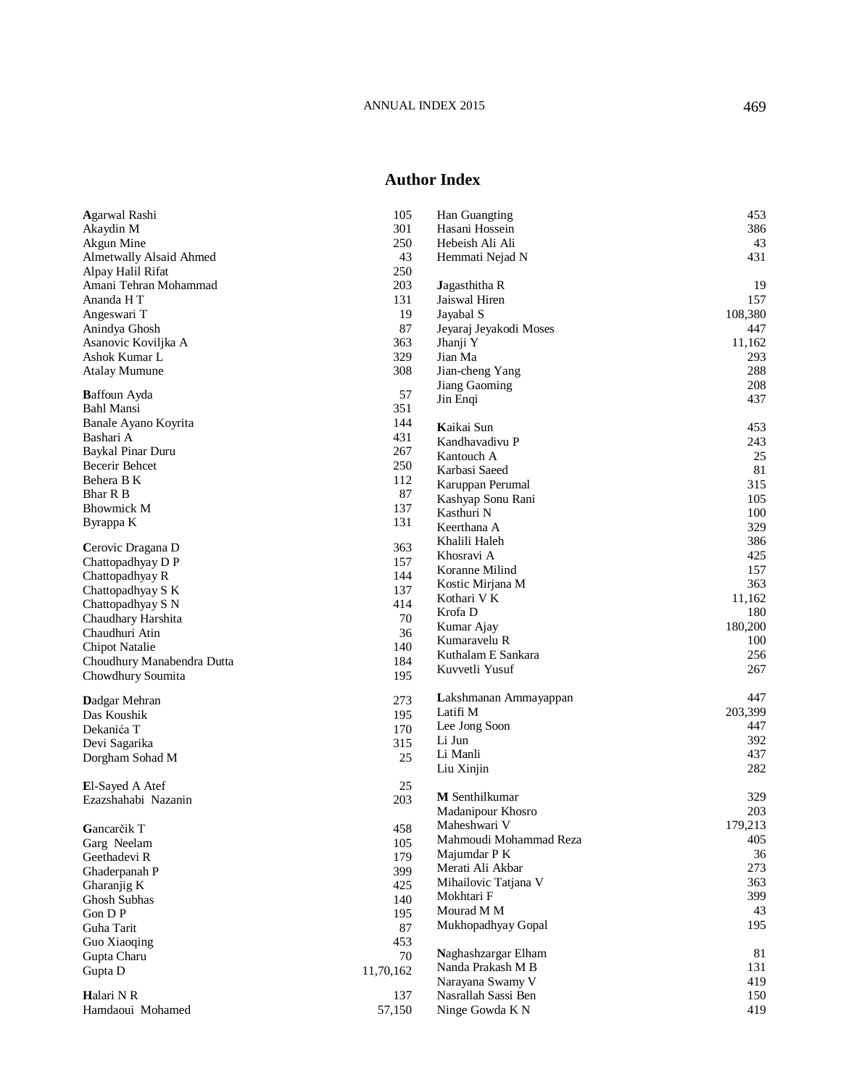### **Author Index**

| <b>Agarwal Rashi</b>                       |            |                                        | 453     |
|--------------------------------------------|------------|----------------------------------------|---------|
|                                            | 105<br>301 | Han Guangting<br>Hasani Hossein        | 386     |
| Akaydin M                                  | 250        |                                        | 43      |
| Akgun Mine<br>Almetwally Alsaid Ahmed      | 43         | Hebeish Ali Ali                        | 431     |
|                                            | 250        | Hemmati Nejad N                        |         |
| Alpay Halil Rifat<br>Amani Tehran Mohammad | 203        |                                        | 19      |
| Ananda HT                                  | 131        | <b>J</b> agasthitha R<br>Jaiswal Hiren | 157     |
|                                            | 19         |                                        |         |
| Angeswari T                                |            | Jayabal S                              | 108,380 |
| Anindya Ghosh                              | 87         | Jeyaraj Jeyakodi Moses                 | 447     |
| Asanovic Koviljka A                        | 363        | Jhanji Y                               | 11,162  |
| Ashok Kumar L                              | 329        | Jian Ma                                | 293     |
| <b>Atalay Mumune</b>                       | 308        | Jian-cheng Yang                        | 288     |
| <b>Baffoun Ayda</b>                        | 57         | Jiang Gaoming                          | 208     |
| Bahl Mansi                                 | 351        | Jin Enqi                               | 437     |
| Banale Ayano Koyrita                       | 144        |                                        |         |
| Bashari A                                  | 431        | Kaikai Sun                             | 453     |
| Baykal Pinar Duru                          | 267        | Kandhavadivu P                         | 243     |
| Becerir Behcet                             | 250        | Kantouch A                             | 25      |
| Behera B K                                 | 112        | Karbasi Saeed                          | 81      |
| Bhar R B                                   | 87         | Karuppan Perumal                       | 315     |
| <b>Bhowmick M</b>                          | 137        | Kashyap Sonu Rani                      | 105     |
| Byrappa K                                  | 131        | Kasthuri N                             | 100     |
|                                            |            | Keerthana A                            | 329     |
| Cerovic Dragana D                          | 363        | Khalili Haleh                          | 386     |
| Chattopadhyay D P                          | 157        | Khosravi A                             | 425     |
| Chattopadhyay R                            | 144        | Koranne Milind                         | 157     |
| Chattopadhyay S K                          | 137        | Kostic Mirjana M                       | 363     |
| Chattopadhyay S N                          | 414        | Kothari V K                            | 11,162  |
| Chaudhary Harshita                         | 70         | Krofa D                                | 180     |
| Chaudhuri Atin                             | 36         | Kumar Ajay                             | 180,200 |
| Chipot Natalie                             | 140        | Kumaravelu R                           | 100     |
| Choudhury Manabendra Dutta                 | 184        | Kuthalam E Sankara                     | 256     |
|                                            | 195        | Kuvvetli Yusuf                         | 267     |
| Chowdhury Soumita                          |            |                                        |         |
| Dadgar Mehran                              | 273        | Lakshmanan Ammayappan                  | 447     |
| Das Koushik                                | 195        | Latifi M                               | 203,399 |
| Dekanića T                                 | 170        | Lee Jong Soon                          | 447     |
| Devi Sagarika                              | 315        | Li Jun                                 | 392     |
| Dorgham Sohad M                            | 25         | Li Manli                               | 437     |
|                                            |            | Liu Xinjin                             | 282     |
| <b>El-Sayed A Atef</b>                     | 25         |                                        |         |
| Ezazshahabi Nazanin                        | 203        | <b>M</b> Senthilkumar                  | 329     |
|                                            |            | Madanipour Khosro                      | 203     |
| Gancarčik T                                | 458        | Maheshwari V                           | 179,213 |
| Garg Neelam                                | 105        | Mahmoudi Mohammad Reza                 | 405     |
| Geethadevi R                               | 179        | Majumdar P K                           | 36      |
| Ghaderpanah P                              | 399        | Merati Ali Akbar                       | 273     |
| Gharanjig K                                | 425        | Mihailovic Tatjana V                   | 363     |
| Ghosh Subhas                               | 140        | Mokhtari F                             | 399     |
| Gon D P                                    | 195        | Mourad M M                             | 43      |
| Guha Tarit                                 | 87         | Mukhopadhyay Gopal                     | 195     |
| Guo Xiaoqing                               | 453        |                                        |         |
| Gupta Charu                                | 70         | Naghashzargar Elham                    | 81      |
| Gupta D                                    | 11,70,162  | Nanda Prakash M B                      | 131     |
|                                            |            | Narayana Swamy V                       | 419     |
| Halari N R                                 | 137        | Nasrallah Sassi Ben                    | 150     |
| Hamdaoui Mohamed                           | 57,150     | Ninge Gowda K N                        | 419     |